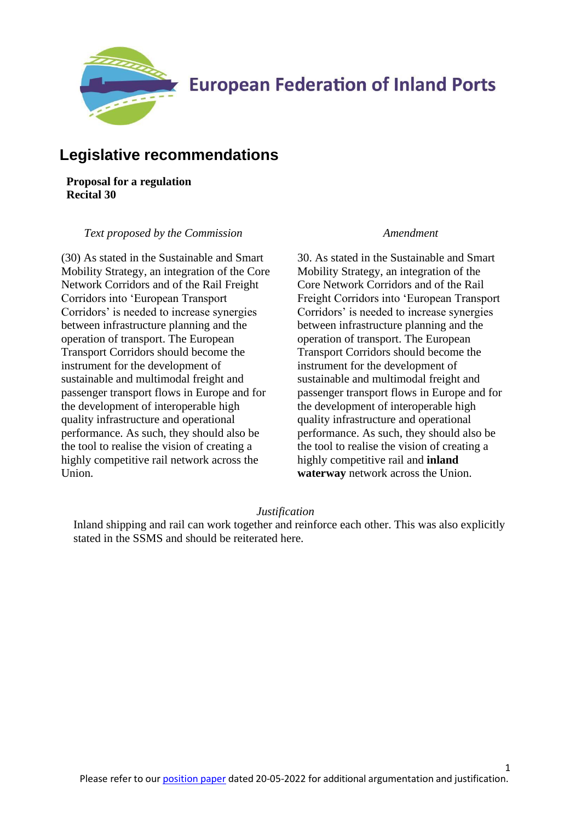

## **Legislative recommendations**

**Proposal for a regulation Recital 30**

### *Text proposed by the Commission Amendment*

(30) As stated in the Sustainable and Smart Mobility Strategy, an integration of the Core Network Corridors and of the Rail Freight Corridors into 'European Transport Corridors' is needed to increase synergies between infrastructure planning and the operation of transport. The European Transport Corridors should become the instrument for the development of sustainable and multimodal freight and passenger transport flows in Europe and for the development of interoperable high quality infrastructure and operational performance. As such, they should also be the tool to realise the vision of creating a highly competitive rail network across the Union.

30. As stated in the Sustainable and Smart Mobility Strategy, an integration of the Core Network Corridors and of the Rail Freight Corridors into 'European Transport Corridors' is needed to increase synergies between infrastructure planning and the operation of transport. The European Transport Corridors should become the instrument for the development of sustainable and multimodal freight and passenger transport flows in Europe and for the development of interoperable high quality infrastructure and operational performance. As such, they should also be the tool to realise the vision of creating a highly competitive rail and **inland waterway** network across the Union.

1

### *Justification*

Inland shipping and rail can work together and reinforce each other. This was also explicitly stated in the SSMS and should be reiterated here.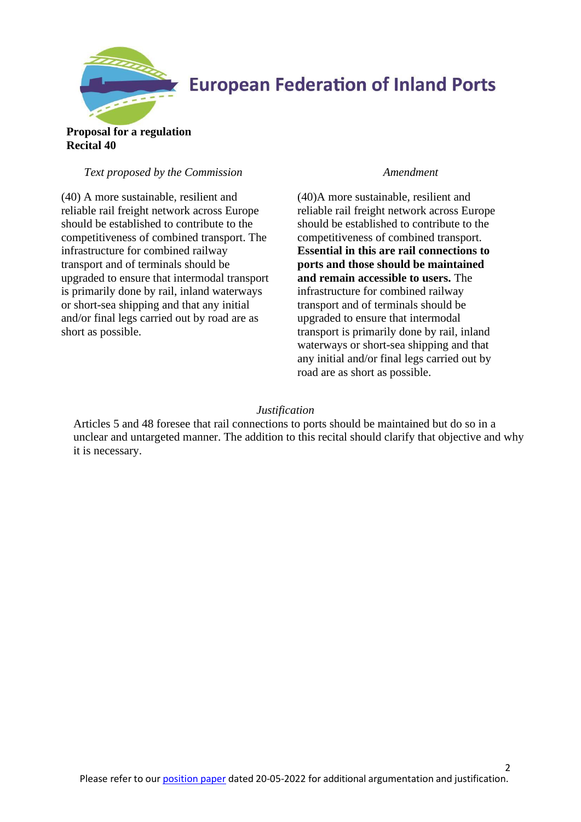

## **Proposal for a regulation Recital 40**

## *Text proposed by the Commission Amendment*

(40) A more sustainable, resilient and reliable rail freight network across Europe should be established to contribute to the competitiveness of combined transport. The infrastructure for combined railway transport and of terminals should be upgraded to ensure that intermodal transport is primarily done by rail, inland waterways or short-sea shipping and that any initial and/or final legs carried out by road are as short as possible.

(40)A more sustainable, resilient and reliable rail freight network across Europe should be established to contribute to the competitiveness of combined transport. **Essential in this are rail connections to ports and those should be maintained and remain accessible to users.** The infrastructure for combined railway transport and of terminals should be upgraded to ensure that intermodal transport is primarily done by rail, inland waterways or short-sea shipping and that any initial and/or final legs carried out by road are as short as possible.

## *Justification*

Articles 5 and 48 foresee that rail connections to ports should be maintained but do so in a unclear and untargeted manner. The addition to this recital should clarify that objective and why it is necessary.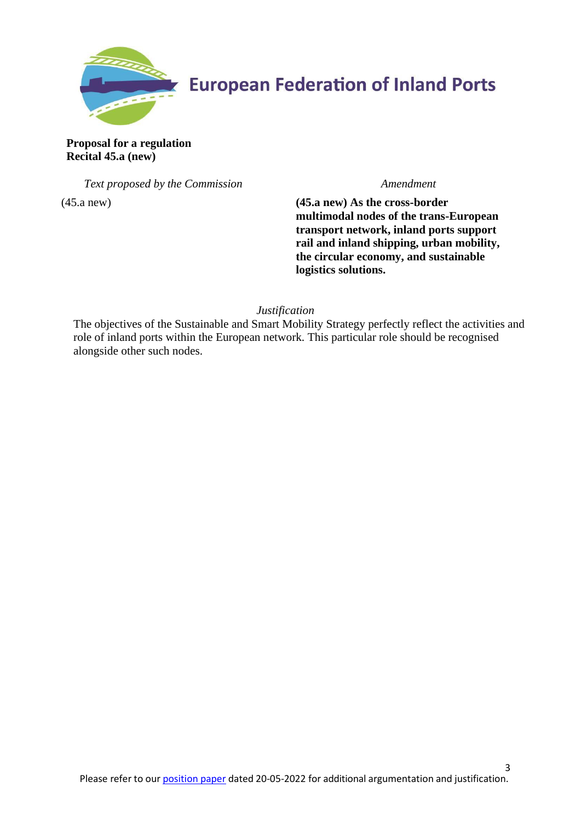

**Proposal for a regulation Recital 45.a (new)**

*Text proposed by the Commission Amendment*

(45.a new) **(45.a new) As the cross-border multimodal nodes of the trans-European transport network, inland ports support rail and inland shipping, urban mobility, the circular economy, and sustainable logistics solutions.** 

*Justification*

The objectives of the Sustainable and Smart Mobility Strategy perfectly reflect the activities and role of inland ports within the European network. This particular role should be recognised alongside other such nodes.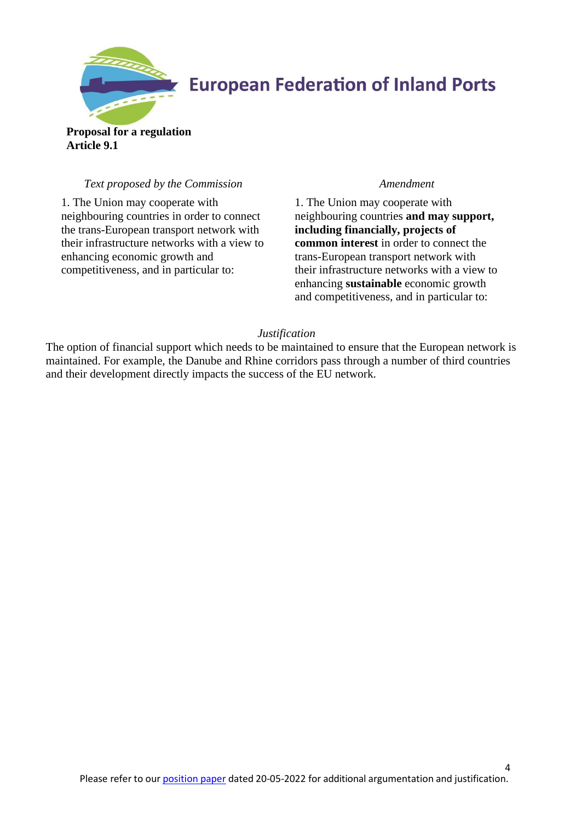

**Proposal for a regulation Article 9.1**

## *Text proposed by the Commission Amendment*

1. The Union may cooperate with neighbouring countries in order to connect the trans-European transport network with their infrastructure networks with a view to enhancing economic growth and competitiveness, and in particular to:

1. The Union may cooperate with neighbouring countries **and may support, including financially, projects of common interest** in order to connect the trans-European transport network with their infrastructure networks with a view to enhancing **sustainable** economic growth and competitiveness, and in particular to:

### *Justification*

The option of financial support which needs to be maintained to ensure that the European network is maintained. For example, the Danube and Rhine corridors pass through a number of third countries and their development directly impacts the success of the EU network.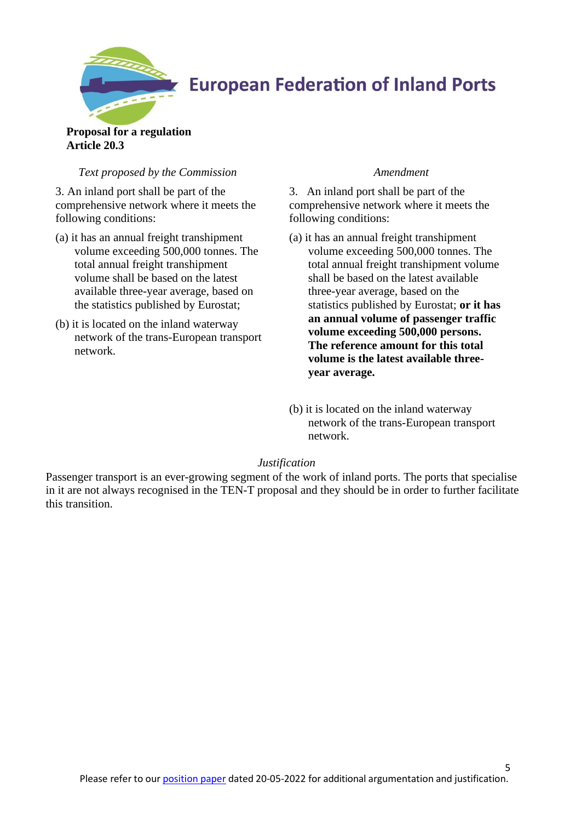

## **Proposal for a regulation Article 20.3**

## *Text proposed by the Commission Amendment*

3. An inland port shall be part of the comprehensive network where it meets the following conditions:

- (a) it has an annual freight transhipment volume exceeding 500,000 tonnes. The total annual freight transhipment volume shall be based on the latest available three-year average, based on the statistics published by Eurostat;
- (b) it is located on the inland waterway network of the trans-European transport network.

3. An inland port shall be part of the comprehensive network where it meets the following conditions:

- (a) it has an annual freight transhipment volume exceeding 500,000 tonnes. The total annual freight transhipment volume shall be based on the latest available three-year average, based on the statistics published by Eurostat; **or it has an annual volume of passenger traffic volume exceeding 500,000 persons. The reference amount for this total volume is the latest available threeyear average.**
- (b) it is located on the inland waterway network of the trans-European transport network.

## *Justification*

Passenger transport is an ever-growing segment of the work of inland ports. The ports that specialise in it are not always recognised in the TEN-T proposal and they should be in order to further facilitate this transition.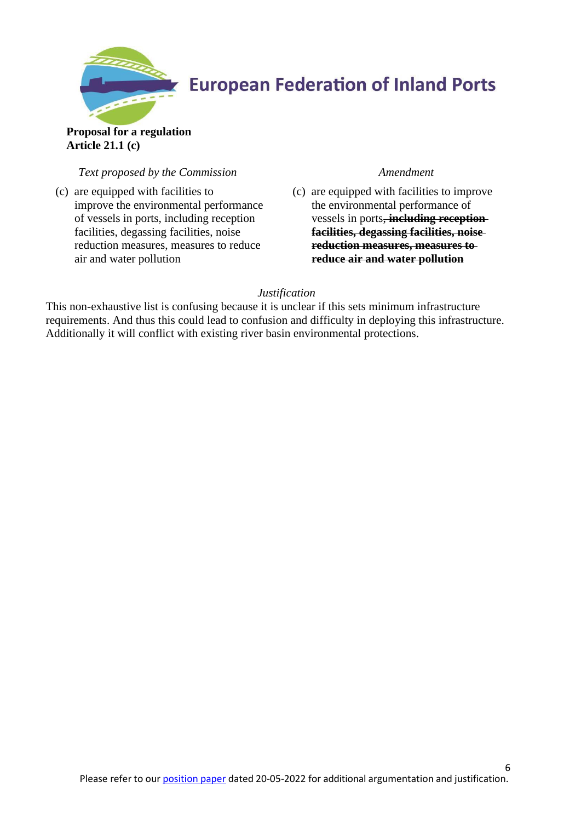

## **Proposal for a regulation Article 21.1 (c)**

## *Text proposed by the Commission Amendment*

(c) are equipped with facilities to improve the environmental performance of vessels in ports, including reception facilities, degassing facilities, noise reduction measures, measures to reduce air and water pollution

(c) are equipped with facilities to improve the environmental performance of vessels in ports, **including reception facilities, degassing facilities, noise reduction measures, measures to reduce air and water pollution**

## *Justification*

This non-exhaustive list is confusing because it is unclear if this sets minimum infrastructure requirements. And thus this could lead to confusion and difficulty in deploying this infrastructure. Additionally it will conflict with existing river basin environmental protections.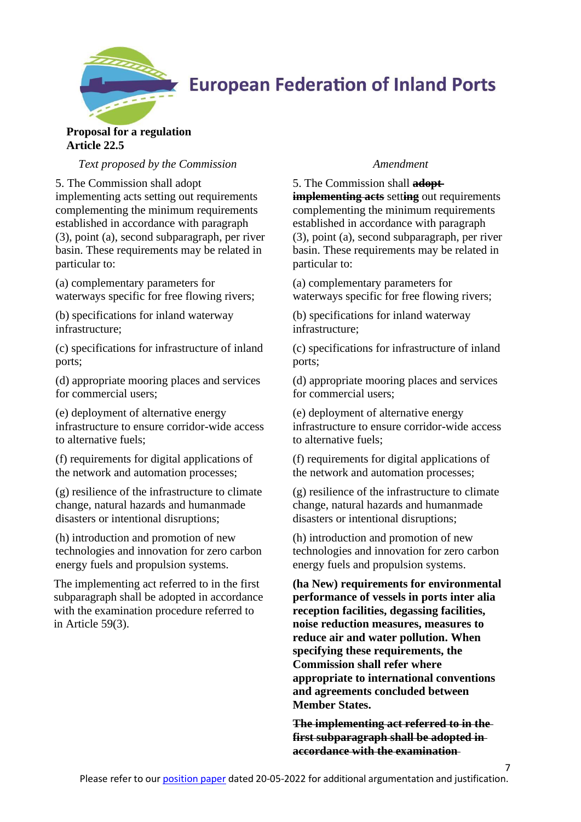

### **Proposal for a regulation Article 22.5**

*Text proposed by the Commission Amendment*

5. The Commission shall adopt

implementing acts setting out requirements complementing the minimum requirements established in accordance with paragraph (3), point (a), second subparagraph, per river basin. These requirements may be related in particular to:

(a) complementary parameters for waterways specific for free flowing rivers;

(b) specifications for inland waterway infrastructure;

(c) specifications for infrastructure of inland ports;

(d) appropriate mooring places and services for commercial users;

(e) deployment of alternative energy infrastructure to ensure corridor-wide access to alternative fuels;

(f) requirements for digital applications of the network and automation processes;

(g) resilience of the infrastructure to climate change, natural hazards and humanmade disasters or intentional disruptions;

(h) introduction and promotion of new technologies and innovation for zero carbon energy fuels and propulsion systems.

The implementing act referred to in the first subparagraph shall be adopted in accordance with the examination procedure referred to in Article 59(3).

5. The Commission shall **adopt implementing acts** setting out requirements complementing the minimum requirements established in accordance with paragraph (3), point (a), second subparagraph, per river basin. These requirements may be related in particular to:

(a) complementary parameters for waterways specific for free flowing rivers;

(b) specifications for inland waterway infrastructure;

(c) specifications for infrastructure of inland ports;

(d) appropriate mooring places and services for commercial users;

(e) deployment of alternative energy infrastructure to ensure corridor-wide access to alternative fuels;

(f) requirements for digital applications of the network and automation processes;

(g) resilience of the infrastructure to climate change, natural hazards and humanmade disasters or intentional disruptions;

(h) introduction and promotion of new technologies and innovation for zero carbon energy fuels and propulsion systems.

**(ha New) requirements for environmental performance of vessels in ports inter alia reception facilities, degassing facilities, noise reduction measures, measures to reduce air and water pollution. When specifying these requirements, the Commission shall refer where appropriate to international conventions and agreements concluded between Member States.**

**The implementing act referred to in the first subparagraph shall be adopted in accordance with the examination** 

7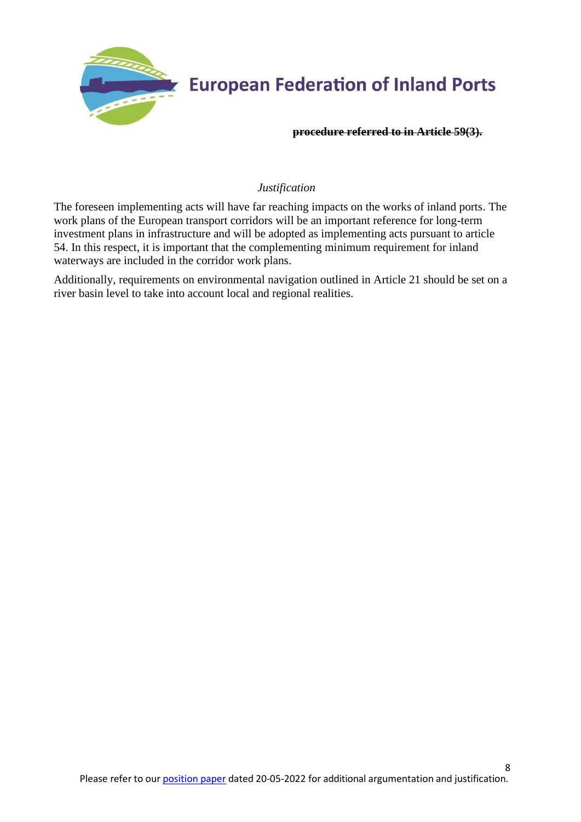

### **procedure referred to in Article 59(3).**

## *Justification*

The foreseen implementing acts will have far reaching impacts on the works of inland ports. The work plans of the European transport corridors will be an important reference for long-term investment plans in infrastructure and will be adopted as implementing acts pursuant to article 54. In this respect, it is important that the complementing minimum requirement for inland waterways are included in the corridor work plans.

Additionally, requirements on environmental navigation outlined in Article 21 should be set on a river basin level to take into account local and regional realities.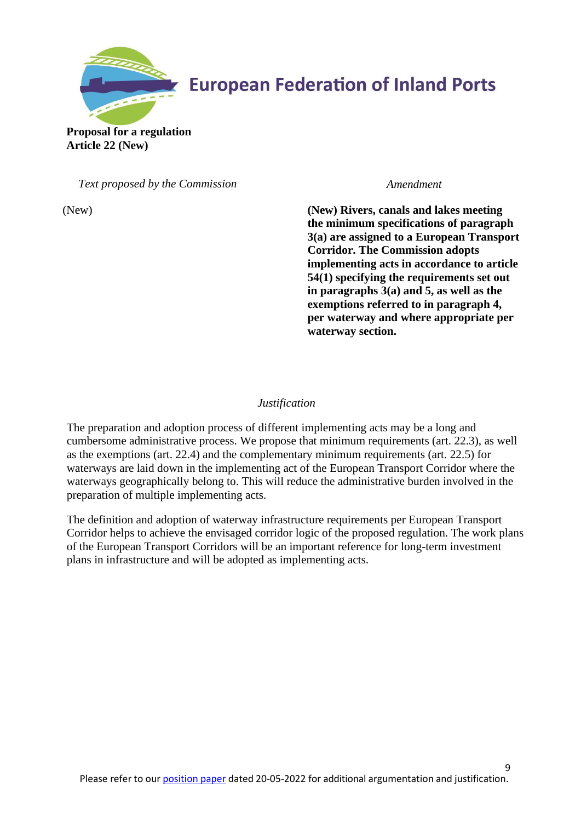

**Proposal for a regulation Article 22 (New)** 

*Text proposed by the Commission Amendment*

 (New) **(New) Rivers, canals and lakes meeting the minimum specifications of paragraph 3(a) are assigned to a European Transport Corridor. The Commission adopts implementing acts in accordance to article 54(1) specifying the requirements set out in paragraphs 3(a) and 5, as well as the exemptions referred to in paragraph 4, per waterway and where appropriate per waterway section.**

## *Justification*

The preparation and adoption process of different implementing acts may be a long and cumbersome administrative process. We propose that minimum requirements (art. 22.3), as well as the exemptions (art. 22.4) and the complementary minimum requirements (art. 22.5) for waterways are laid down in the implementing act of the European Transport Corridor where the waterways geographically belong to. This will reduce the administrative burden involved in the preparation of multiple implementing acts.

The definition and adoption of waterway infrastructure requirements per European Transport Corridor helps to achieve the envisaged corridor logic of the proposed regulation. The work plans of the European Transport Corridors will be an important reference for long-term investment plans in infrastructure and will be adopted as implementing acts.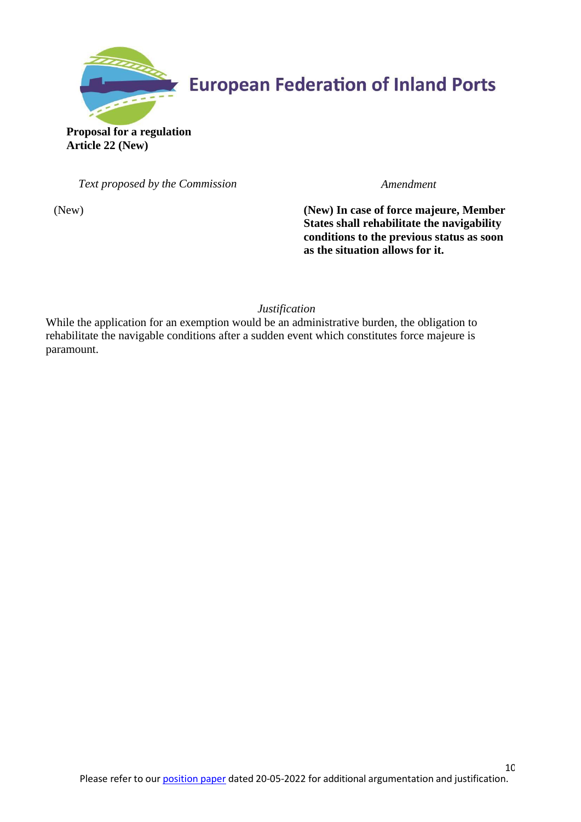

**Proposal for a regulation Article 22 (New)** 

*Text proposed by the Commission Amendment*

(New) **(New) In case of force majeure, Member States shall rehabilitate the navigability conditions to the previous status as soon as the situation allows for it.**

*Justification*

While the application for an exemption would be an administrative burden, the obligation to rehabilitate the navigable conditions after a sudden event which constitutes force majeure is paramount.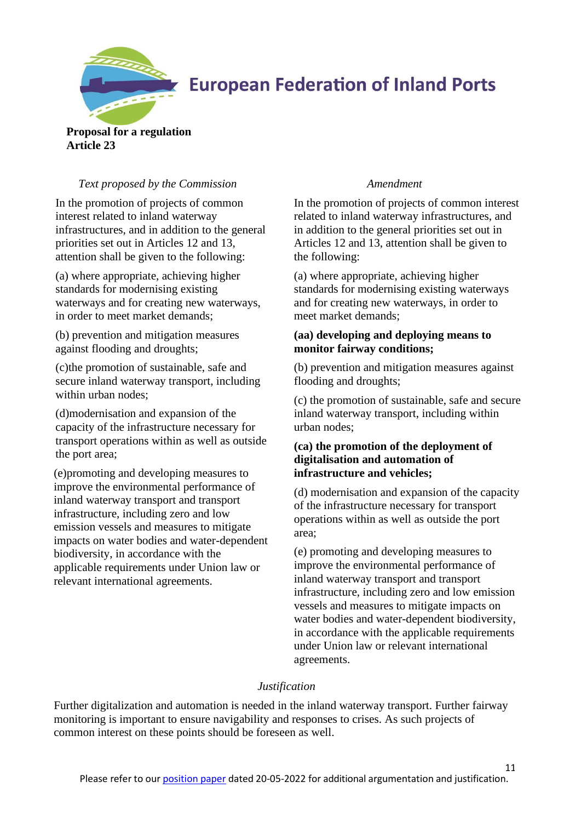

## **Proposal for a regulation Article 23**

## *Text proposed by the Commission Amendment*

In the promotion of projects of common interest related to inland waterway infrastructures, and in addition to the general priorities set out in Articles 12 and 13, attention shall be given to the following:

(a) where appropriate, achieving higher standards for modernising existing waterways and for creating new waterways, in order to meet market demands;

(b) prevention and mitigation measures against flooding and droughts;

(c)the promotion of sustainable, safe and secure inland waterway transport, including within urban nodes;

(d)modernisation and expansion of the capacity of the infrastructure necessary for transport operations within as well as outside the port area;

(e)promoting and developing measures to improve the environmental performance of inland waterway transport and transport infrastructure, including zero and low emission vessels and measures to mitigate impacts on water bodies and water-dependent biodiversity, in accordance with the applicable requirements under Union law or relevant international agreements.

In the promotion of projects of common interest related to inland waterway infrastructures, and in addition to the general priorities set out in Articles 12 and 13, attention shall be given to the following:

(a) where appropriate, achieving higher standards for modernising existing waterways and for creating new waterways, in order to meet market demands;

## **(aa) developing and deploying means to monitor fairway conditions;**

(b) prevention and mitigation measures against flooding and droughts;

(c) the promotion of sustainable, safe and secure inland waterway transport, including within urban nodes;

## **(ca) the promotion of the deployment of digitalisation and automation of infrastructure and vehicles;**

(d) modernisation and expansion of the capacity of the infrastructure necessary for transport operations within as well as outside the port area;

(e) promoting and developing measures to improve the environmental performance of inland waterway transport and transport infrastructure, including zero and low emission vessels and measures to mitigate impacts on water bodies and water-dependent biodiversity, in accordance with the applicable requirements under Union law or relevant international agreements.

11

## *Justification*

Further digitalization and automation is needed in the inland waterway transport. Further fairway monitoring is important to ensure navigability and responses to crises. As such projects of common interest on these points should be foreseen as well.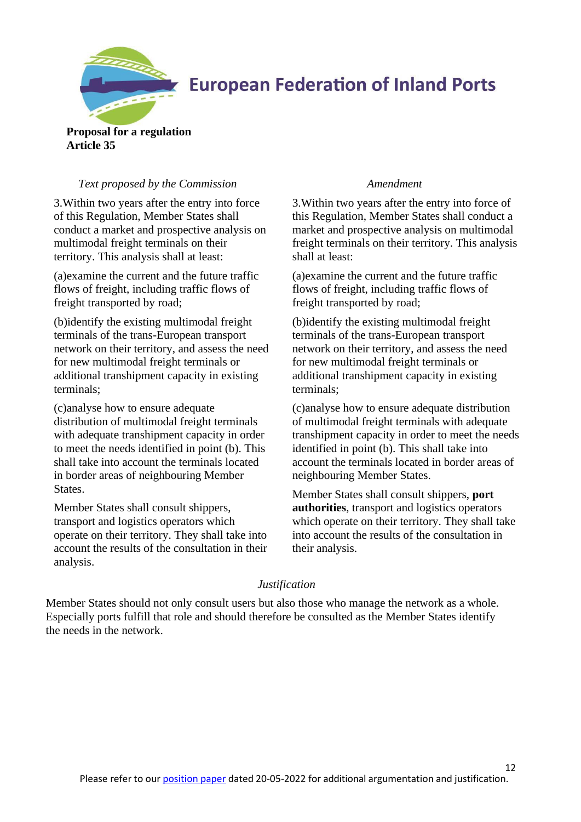

**Proposal for a regulation Article 35**

## *Text proposed by the Commission Amendment*

3.Within two years after the entry into force of this Regulation, Member States shall conduct a market and prospective analysis on multimodal freight terminals on their territory. This analysis shall at least:

(a)examine the current and the future traffic flows of freight, including traffic flows of freight transported by road;

(b)identify the existing multimodal freight terminals of the trans-European transport network on their territory, and assess the need for new multimodal freight terminals or additional transhipment capacity in existing terminals;

(c)analyse how to ensure adequate distribution of multimodal freight terminals with adequate transhipment capacity in order to meet the needs identified in point (b). This shall take into account the terminals located in border areas of neighbouring Member States.

Member States shall consult shippers, transport and logistics operators which operate on their territory. They shall take into account the results of the consultation in their analysis.

3.Within two years after the entry into force of this Regulation, Member States shall conduct a market and prospective analysis on multimodal freight terminals on their territory. This analysis shall at least:

(a)examine the current and the future traffic flows of freight, including traffic flows of freight transported by road;

(b)identify the existing multimodal freight terminals of the trans-European transport network on their territory, and assess the need for new multimodal freight terminals or additional transhipment capacity in existing terminals;

(c)analyse how to ensure adequate distribution of multimodal freight terminals with adequate transhipment capacity in order to meet the needs identified in point (b). This shall take into account the terminals located in border areas of neighbouring Member States.

Member States shall consult shippers, **port authorities**, transport and logistics operators which operate on their territory. They shall take into account the results of the consultation in their analysis.

12

### *Justification*

Member States should not only consult users but also those who manage the network as a whole. Especially ports fulfill that role and should therefore be consulted as the Member States identify the needs in the network.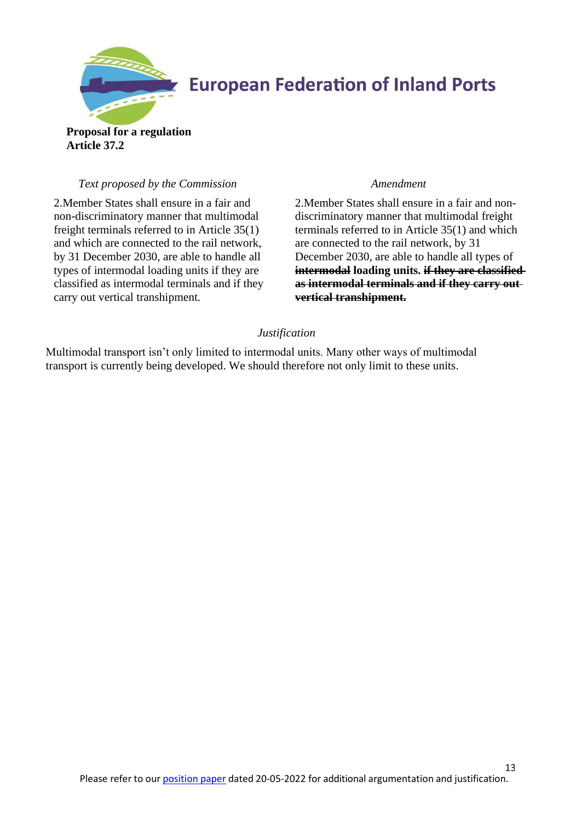

**Proposal for a regulation Article 37.2**

### *Text proposed by the Commission Amendment*

2.Member States shall ensure in a fair and non-discriminatory manner that multimodal freight terminals referred to in Article 35(1) and which are connected to the rail network, by 31 December 2030, are able to handle all types of intermodal loading units if they are classified as intermodal terminals and if they carry out vertical transhipment.

2.Member States shall ensure in a fair and nondiscriminatory manner that multimodal freight terminals referred to in Article 35(1) and which are connected to the rail network, by 31 December 2030, are able to handle all types of **intermodal** loading units. if they are classified **as intermodal terminals and if they carry out vertical transhipment.**

### *Justification*

Multimodal transport isn't only limited to intermodal units. Many other ways of multimodal transport is currently being developed. We should therefore not only limit to these units.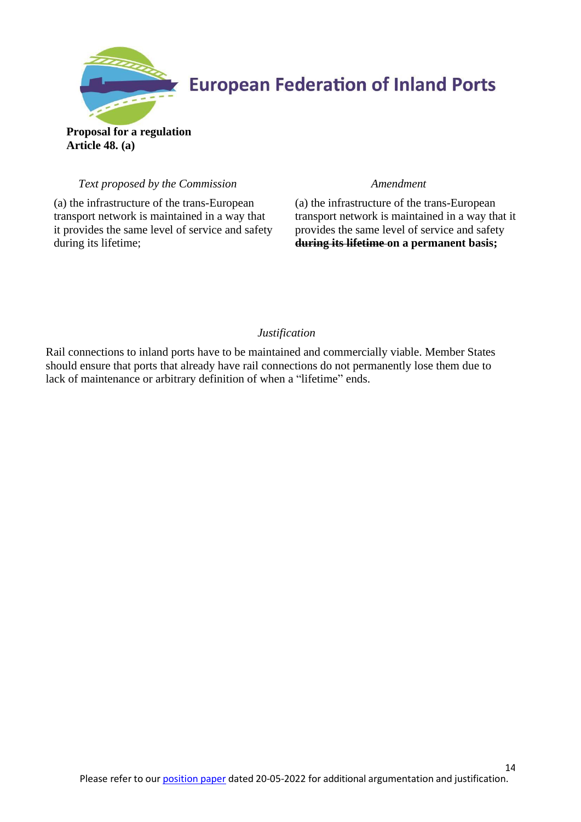

**Proposal for a regulation Article 48. (a)**

## *Text proposed by the Commission Amendment*

(a) the infrastructure of the trans-European transport network is maintained in a way that it provides the same level of service and safety during its lifetime;

(a) the infrastructure of the trans-European transport network is maintained in a way that it provides the same level of service and safety **during its lifetime on a permanent basis;**

## *Justification*

Rail connections to inland ports have to be maintained and commercially viable. Member States should ensure that ports that already have rail connections do not permanently lose them due to lack of maintenance or arbitrary definition of when a "lifetime" ends.